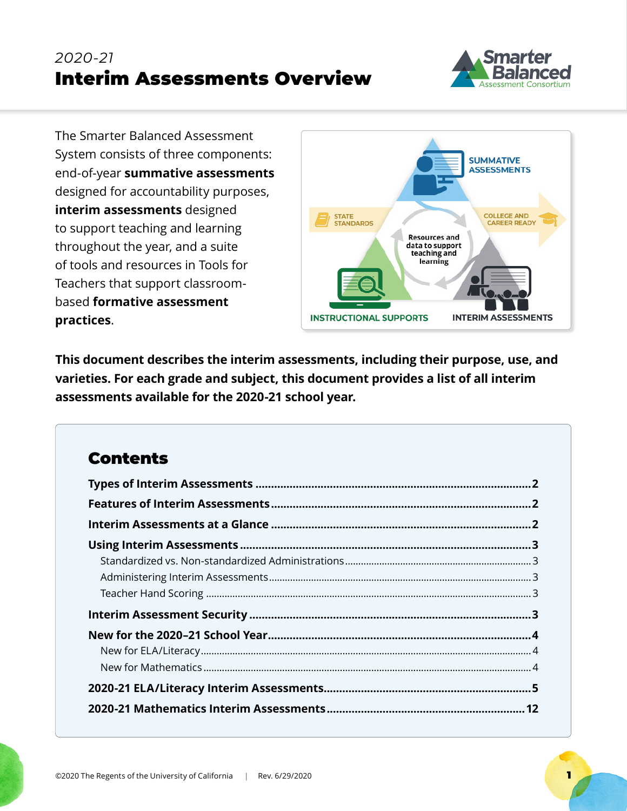# *2020-21* Interim Assessments Overview



The Smarter Balanced Assessment System consists of three components: end-of-year **summative assessments** designed for accountability purposes, **interim assessments** designed to support teaching and learning throughout the year, and a suite of tools and resources in Tools for Teachers that support classroombased **formative assessment practices**.



**This document describes the interim assessments, including their purpose, use, and varieties. For each grade and subject, this document provides a list of all interim assessments available for the 2020-21 school year.**

## **Contents**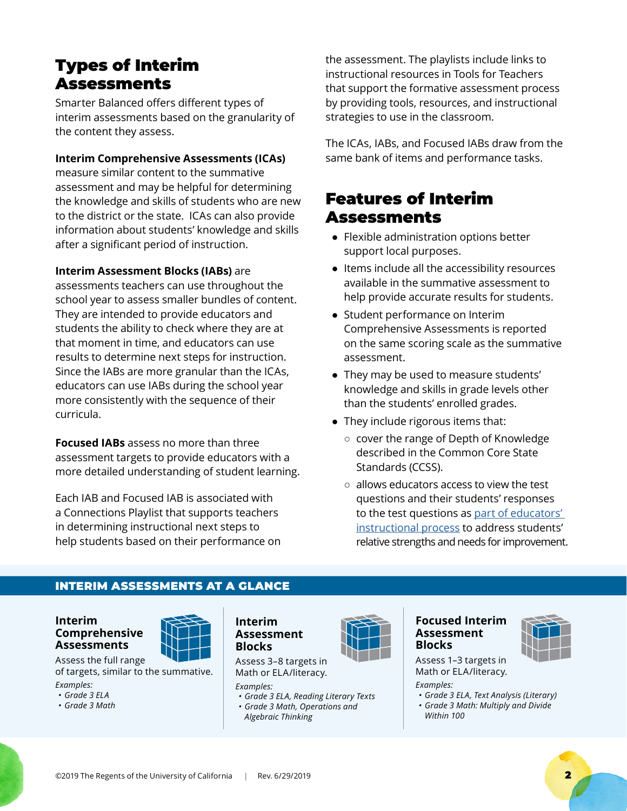## <span id="page-1-0"></span>Types of Interim Assessments

Smarter Balanced offers different types of interim assessments based on the granularity of the content they assess.

#### **Interim Comprehensive Assessments (ICAs)**

measure similar content to the summative assessment and may be helpful for determining the knowledge and skills of students who are new to the district or the state. ICAs can also provide information about students' knowledge and skills after a significant period of instruction.

**Interim Assessment Blocks (IABs)** are

assessments teachers can use throughout the school year to assess smaller bundles of content. They are intended to provide educators and students the ability to check where they are at that moment in time, and educators can use results to determine next steps for instruction. Since the IABs are more granular than the ICAs, educators can use IABs during the school year more consistently with the sequence of their curricula.

**Focused IABs** assess no more than three assessment targets to provide educators with a more detailed understanding of student learning.

Each IAB and Focused IAB is associated with a Connections Playlist that supports teachers in determining instructional next steps to help students based on their performance on the assessment. The playlists include links to instructional resources in Tools for Teachers that support the formative assessment process by providing tools, resources, and instructional strategies to use in the classroom.

The ICAs, IABs, and Focused IABs draw from the same bank of items and performance tasks.

### Features of Interim Assessments

- Flexible administration options better support local purposes.
- Items include all the accessibility resources available in the summative assessment to help provide accurate results for students.
- Student performance on Interim Comprehensive Assessments is reported on the same scoring scale as the summative assessment.
- They may be used to measure students' knowledge and skills in grade levels other than the students' enrolled grades.
- They include rigorous items that:
	- cover the range of Depth of Knowledge described in the Common Core State Standards (CCSS).
	- allows educators access to view the test questions and their students' responses to the test questions as [part of educators'](http://www.smarterbalanced.org/educators/smarter-balanced-ready/big-idea-2/)  [instructional process](http://www.smarterbalanced.org/educators/smarter-balanced-ready/big-idea-2/) to address students' relative strengths and needs for improvement.

#### INTERIM ASSESSMENTS AT A GLANCE

**Interim Comprehensive Assessments**

Assess the full range of targets, similar to the summative. *Examples:* 

*• Grade 3 ELA*

*• Grade 3 Math*



#### **Interim Assessment Blocks**

Assess 3–8 targets in Math or ELA/literacy.

*Examples:*

- *• Grade 3 ELA, Reading Literary Texts*
- *• Grade 3 Math, Operations and Algebraic Thinking*



#### **Focused Interim Assessment Blocks**



Assess 1–3 targets in Math or ELA/literacy.

*Examples:* 

- *• Grade 3 ELA, Text Analysis (Literary)*
- *• Grade 3 Math: Multiply and Divide Within 100*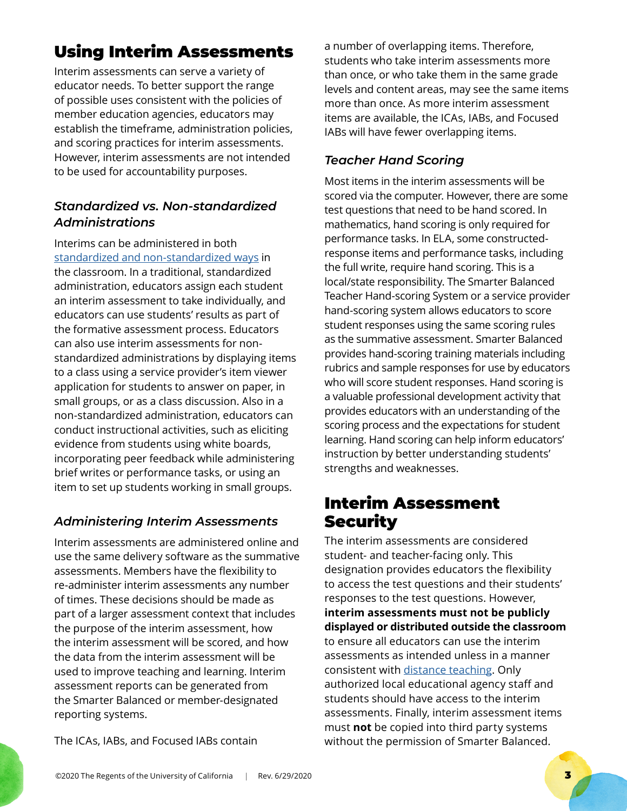# <span id="page-2-0"></span>Using Interim Assessments

Interim assessments can serve a variety of educator needs. To better support the range of possible uses consistent with the policies of member education agencies, educators may establish the timeframe, administration policies, and scoring practices for interim assessments. However, interim assessments are not intended to be used for accountability purposes.

#### *Standardized vs. Non-standardized Administrations*

Interims can be administered in both [standardized and non-standardized ways](http://www.smarterbalanced.org/educators/smarter-balanced-ready/big-idea-1/) in the classroom. In a traditional, standardized administration, educators assign each student an interim assessment to take individually, and educators can use students' results as part of the formative assessment process. Educators can also use interim assessments for nonstandardized administrations by displaying items to a class using a service provider's item viewer application for students to answer on paper, in small groups, or as a class discussion. Also in a non-standardized administration, educators can conduct instructional activities, such as eliciting evidence from students using white boards, incorporating peer feedback while administering brief writes or performance tasks, or using an item to set up students working in small groups.

#### *Administering Interim Assessments*

Interim assessments are administered online and use the same delivery software as the summative assessments. Members have the flexibility to re-administer interim assessments any number of times. These decisions should be made as part of a larger assessment context that includes the purpose of the interim assessment, how the interim assessment will be scored, and how the data from the interim assessment will be used to improve teaching and learning. Interim assessment reports can be generated from the Smarter Balanced or member-designated reporting systems.

The ICAs, IABs, and Focused IABs contain

a number of overlapping items. Therefore, students who take interim assessments more than once, or who take them in the same grade levels and content areas, may see the same items more than once. As more interim assessment items are available, the ICAs, IABs, and Focused IABs will have fewer overlapping items.

#### *Teacher Hand Scoring*

Most items in the interim assessments will be scored via the computer. However, there are some test questions that need to be hand scored. In mathematics, hand scoring is only required for performance tasks. In ELA, some constructedresponse items and performance tasks, including the full write, require hand scoring. This is a local/state responsibility. The Smarter Balanced Teacher Hand-scoring System or a service provider hand-scoring system allows educators to score student responses using the same scoring rules as the summative assessment. Smarter Balanced provides hand-scoring training materials including rubrics and sample responses for use by educators who will score student responses. Hand scoring is a valuable professional development activity that provides educators with an understanding of the scoring process and the expectations for student learning. Hand scoring can help inform educators' instruction by better understanding students' strengths and weaknesses.

## Interim Assessment **Security**

The interim assessments are considered student- and teacher-facing only. This designation provides educators the flexibility to access the test questions and their students' responses to the test questions. However, **interim assessments must not be publicly displayed or distributed outside the classroom** to ensure all educators can use the interim assessments as intended unless in a manner consistent with [distance teaching.](https://remote.smartertoolsforteachers.org/#interims) Only authorized local educational agency staff and students should have access to the interim assessments. Finally, interim assessment items must **not** be copied into third party systems without the permission of Smarter Balanced.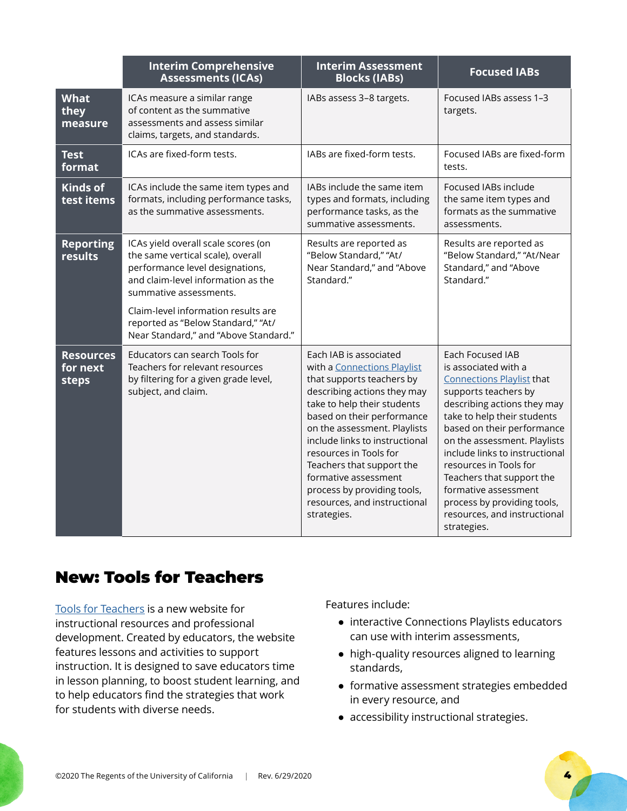<span id="page-3-0"></span>

|                                       | <b>Interim Comprehensive</b><br><b>Assessments (ICAs)</b>                                                                                                                                                                                                                                         | <b>Interim Assessment</b><br><b>Blocks (IABs)</b>                                                                                                                                                                                                                                                                                                                                                             | <b>Focused IABs</b>                                                                                                                                                                                                                                                                                                                                                                                                             |
|---------------------------------------|---------------------------------------------------------------------------------------------------------------------------------------------------------------------------------------------------------------------------------------------------------------------------------------------------|---------------------------------------------------------------------------------------------------------------------------------------------------------------------------------------------------------------------------------------------------------------------------------------------------------------------------------------------------------------------------------------------------------------|---------------------------------------------------------------------------------------------------------------------------------------------------------------------------------------------------------------------------------------------------------------------------------------------------------------------------------------------------------------------------------------------------------------------------------|
| <b>What</b><br>they<br>measure        | ICAs measure a similar range<br>of content as the summative<br>assessments and assess similar<br>claims, targets, and standards.                                                                                                                                                                  | IABs assess 3-8 targets.                                                                                                                                                                                                                                                                                                                                                                                      | Focused IABs assess 1-3<br>targets.                                                                                                                                                                                                                                                                                                                                                                                             |
| <b>Test</b><br>format                 | ICAs are fixed-form tests.                                                                                                                                                                                                                                                                        | IABs are fixed-form tests.                                                                                                                                                                                                                                                                                                                                                                                    | Focused IABs are fixed-form<br>tests.                                                                                                                                                                                                                                                                                                                                                                                           |
| <b>Kinds of</b><br>test items         | ICAs include the same item types and<br>formats, including performance tasks,<br>as the summative assessments.                                                                                                                                                                                    | IABs include the same item<br>types and formats, including<br>performance tasks, as the<br>summative assessments.                                                                                                                                                                                                                                                                                             | Focused IABs include<br>the same item types and<br>formats as the summative<br>assessments.                                                                                                                                                                                                                                                                                                                                     |
| <b>Reporting</b><br>results           | ICAs yield overall scale scores (on<br>the same vertical scale), overall<br>performance level designations,<br>and claim-level information as the<br>summative assessments.<br>Claim-level information results are<br>reported as "Below Standard," "At/<br>Near Standard," and "Above Standard." | Results are reported as<br>"Below Standard," "At/<br>Near Standard," and "Above<br>Standard."                                                                                                                                                                                                                                                                                                                 | Results are reported as<br>"Below Standard," "At/Near<br>Standard," and "Above<br>Standard."                                                                                                                                                                                                                                                                                                                                    |
| <b>Resources</b><br>for next<br>steps | Educators can search Tools for<br>Teachers for relevant resources<br>by filtering for a given grade level,<br>subject, and claim.                                                                                                                                                                 | Each IAB is associated<br>with a Connections Playlist<br>that supports teachers by<br>describing actions they may<br>take to help their students<br>based on their performance<br>on the assessment. Playlists<br>include links to instructional<br>resources in Tools for<br>Teachers that support the<br>formative assessment<br>process by providing tools,<br>resources, and instructional<br>strategies. | Each Focused IAB<br>is associated with a<br><b>Connections Playlist that</b><br>supports teachers by<br>describing actions they may<br>take to help their students<br>based on their performance<br>on the assessment. Playlists<br>include links to instructional<br>resources in Tools for<br>Teachers that support the<br>formative assessment<br>process by providing tools,<br>resources, and instructional<br>strategies. |

## New: Tools for Teachers

[Tools for Teachers](https://smartertoolsforteachers.org/) is a new website for instructional resources and professional development. Created by educators, the website features lessons and activities to support instruction. It is designed to save educators time in lesson planning, to boost student learning, and to help educators find the strategies that work for students with diverse needs.

Features include:

- interactive Connections Playlists educators can use with interim assessments,
- high-quality resources aligned to learning standards,
- formative assessment strategies embedded in every resource, and
- accessibility instructional strategies.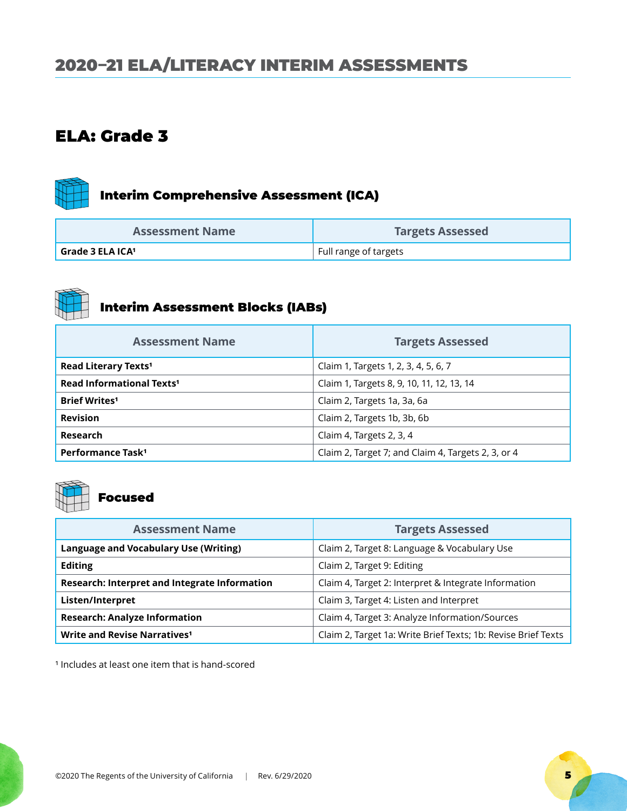## <span id="page-4-0"></span>2020–21 ELA/LITERACY INTERIM ASSESSMENTS

#### ELA: Grade 3

# Interim Comprehensive Assessment (ICA)

| <b>Assessment Name</b> | <b>Targets Assessed</b> |
|------------------------|-------------------------|
| Grade 3 ELA ICA1       | Full range of targets   |



# Interim Assessment Blocks (IABs)

| <b>Assessment Name</b>                | <b>Targets Assessed</b>                            |
|---------------------------------------|----------------------------------------------------|
| Read Literary Texts <sup>1</sup>      | Claim 1, Targets 1, 2, 3, 4, 5, 6, 7               |
| Read Informational Texts <sup>1</sup> | Claim 1, Targets 8, 9, 10, 11, 12, 13, 14          |
| <b>Brief Writes<sup>1</sup></b>       | Claim 2, Targets 1a, 3a, 6a                        |
| <b>Revision</b>                       | Claim 2, Targets 1b, 3b, 6b                        |
| <b>Research</b>                       | Claim 4, Targets 2, 3, 4                           |
| Performance Task <sup>1</sup>         | Claim 2, Target 7; and Claim 4, Targets 2, 3, or 4 |



## Focused

| <b>Assessment Name</b>                        | <b>Targets Assessed</b>                                       |
|-----------------------------------------------|---------------------------------------------------------------|
| <b>Language and Vocabulary Use (Writing)</b>  | Claim 2, Target 8: Language & Vocabulary Use                  |
| <b>Editing</b>                                | Claim 2, Target 9: Editing                                    |
| Research: Interpret and Integrate Information | Claim 4, Target 2: Interpret & Integrate Information          |
| Listen/Interpret                              | Claim 3, Target 4: Listen and Interpret                       |
| <b>Research: Analyze Information</b>          | Claim 4, Target 3: Analyze Information/Sources                |
| Write and Revise Narratives <sup>1</sup>      | Claim 2, Target 1a: Write Brief Texts; 1b: Revise Brief Texts |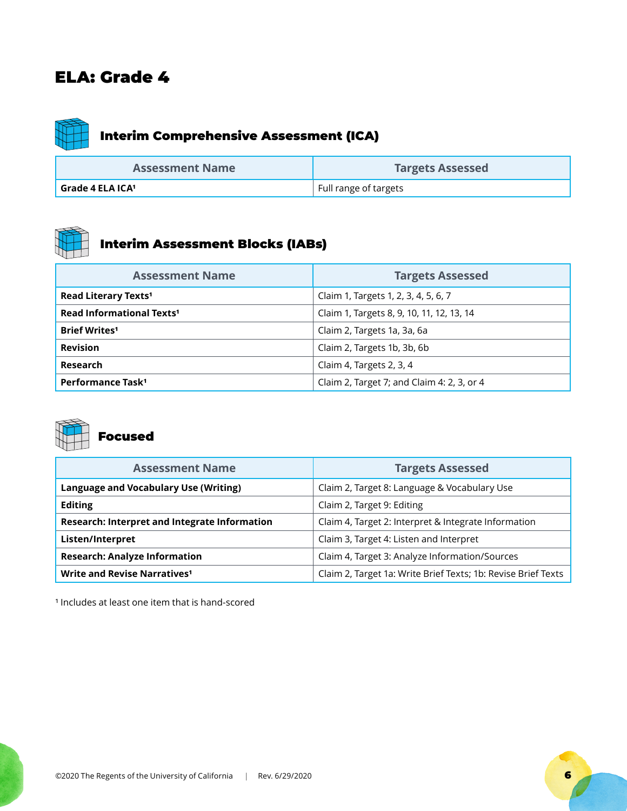

# Interim Comprehensive Assessment (ICA)

| <b>Assessment Name</b> | <b>Targets Assessed</b> |
|------------------------|-------------------------|
| Grade 4 ELA ICA1       | Full range of targets   |



## Interim Assessment Blocks (IABs)

| <b>Assessment Name</b>                 | <b>Targets Assessed</b>                    |
|----------------------------------------|--------------------------------------------|
| <b>Read Literary Texts<sup>1</sup></b> | Claim 1, Targets 1, 2, 3, 4, 5, 6, 7       |
| Read Informational Texts <sup>1</sup>  | Claim 1, Targets 8, 9, 10, 11, 12, 13, 14  |
| <b>Brief Writes<sup>1</sup></b>        | Claim 2, Targets 1a, 3a, 6a                |
| <b>Revision</b>                        | Claim 2, Targets 1b, 3b, 6b                |
| Research                               | Claim 4, Targets 2, 3, 4                   |
| Performance Task <sup>1</sup>          | Claim 2, Target 7; and Claim 4: 2, 3, or 4 |



## Focused

| <b>Assessment Name</b>                        | <b>Targets Assessed</b>                                       |
|-----------------------------------------------|---------------------------------------------------------------|
| Language and Vocabulary Use (Writing)         | Claim 2, Target 8: Language & Vocabulary Use                  |
| <b>Editing</b>                                | Claim 2, Target 9: Editing                                    |
| Research: Interpret and Integrate Information | Claim 4, Target 2: Interpret & Integrate Information          |
| Listen/Interpret                              | Claim 3, Target 4: Listen and Interpret                       |
| <b>Research: Analyze Information</b>          | Claim 4, Target 3: Analyze Information/Sources                |
| Write and Revise Narratives <sup>1</sup>      | Claim 2, Target 1a: Write Brief Texts; 1b: Revise Brief Texts |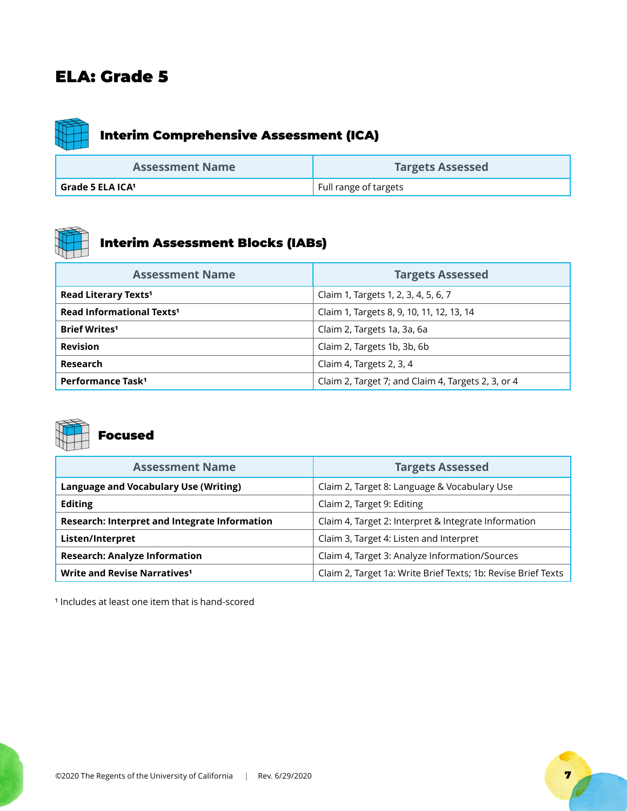

# Interim Comprehensive Assessment (ICA)

| <b>Assessment Name</b> | <b>Targets Assessed</b> |
|------------------------|-------------------------|
| Grade 5 ELA ICA $^1$   | Full range of targets   |



## Interim Assessment Blocks (IABs)

| <b>Assessment Name</b>                 | <b>Targets Assessed</b>                            |
|----------------------------------------|----------------------------------------------------|
| <b>Read Literary Texts<sup>1</sup></b> | Claim 1, Targets 1, 2, 3, 4, 5, 6, 7               |
| Read Informational Texts <sup>1</sup>  | Claim 1, Targets 8, 9, 10, 11, 12, 13, 14          |
| <b>Brief Writes<sup>1</sup></b>        | Claim 2, Targets 1a, 3a, 6a                        |
| <b>Revision</b>                        | Claim 2, Targets 1b, 3b, 6b                        |
| Research                               | Claim 4, Targets 2, 3, 4                           |
| Performance Task <sup>1</sup>          | Claim 2, Target 7; and Claim 4, Targets 2, 3, or 4 |



#### Focused

| <b>Assessment Name</b>                        | <b>Targets Assessed</b>                                       |
|-----------------------------------------------|---------------------------------------------------------------|
| Language and Vocabulary Use (Writing)         | Claim 2, Target 8: Language & Vocabulary Use                  |
| <b>Editing</b>                                | Claim 2, Target 9: Editing                                    |
| Research: Interpret and Integrate Information | Claim 4, Target 2: Interpret & Integrate Information          |
| Listen/Interpret                              | Claim 3, Target 4: Listen and Interpret                       |
| <b>Research: Analyze Information</b>          | Claim 4, Target 3: Analyze Information/Sources                |
| Write and Revise Narratives <sup>1</sup>      | Claim 2, Target 1a: Write Brief Texts; 1b: Revise Brief Texts |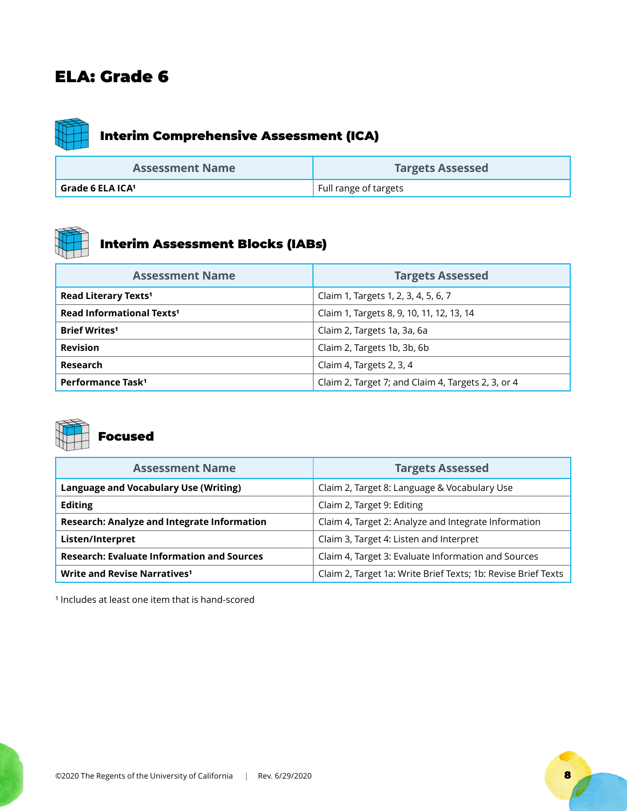

# Interim Comprehensive Assessment (ICA)

| <b>Assessment Name</b> | <b>Targets Assessed</b> |
|------------------------|-------------------------|
| Grade 6 ELA ICA1       | Full range of targets   |



## Interim Assessment Blocks (IABs)

| <b>Assessment Name</b>                | <b>Targets Assessed</b>                            |
|---------------------------------------|----------------------------------------------------|
| Read Literary Texts <sup>1</sup>      | Claim 1, Targets 1, 2, 3, 4, 5, 6, 7               |
| Read Informational Texts <sup>1</sup> | Claim 1, Targets 8, 9, 10, 11, 12, 13, 14          |
| <b>Brief Writes<sup>1</sup></b>       | Claim 2, Targets 1a, 3a, 6a                        |
| <b>Revision</b>                       | Claim 2, Targets 1b, 3b, 6b                        |
| Research                              | Claim 4, Targets 2, 3, 4                           |
| Performance Task <sup>1</sup>         | Claim 2, Target 7; and Claim 4, Targets 2, 3, or 4 |



## Focused

| <b>Assessment Name</b>                             | <b>Targets Assessed</b>                                       |
|----------------------------------------------------|---------------------------------------------------------------|
| Language and Vocabulary Use (Writing)              | Claim 2, Target 8: Language & Vocabulary Use                  |
| <b>Editing</b>                                     | Claim 2, Target 9: Editing                                    |
| <b>Research: Analyze and Integrate Information</b> | Claim 4, Target 2: Analyze and Integrate Information          |
| Listen/Interpret                                   | Claim 3, Target 4: Listen and Interpret                       |
| <b>Research: Evaluate Information and Sources</b>  | Claim 4, Target 3: Evaluate Information and Sources           |
| Write and Revise Narratives <sup>1</sup>           | Claim 2, Target 1a: Write Brief Texts; 1b: Revise Brief Texts |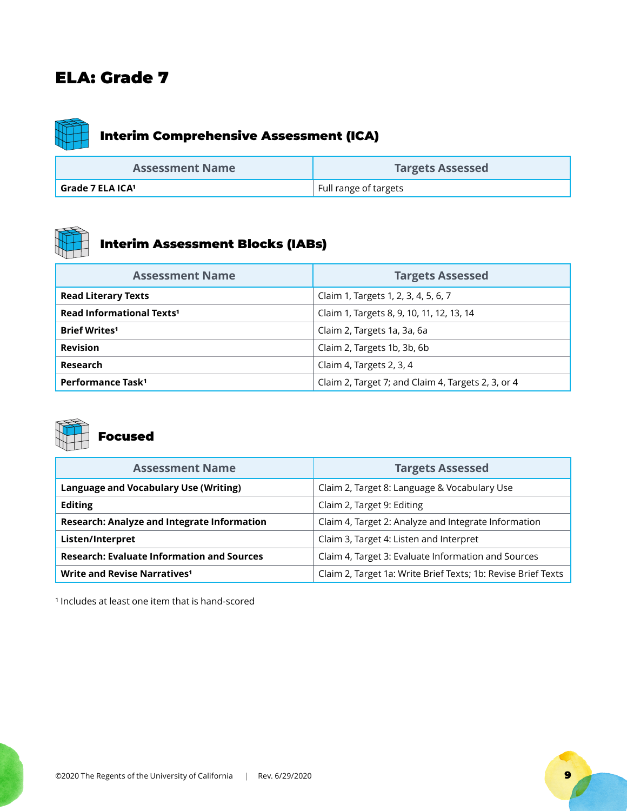

| <b>Assessment Name</b> | <b>Targets Assessed</b> |
|------------------------|-------------------------|
| Grade 7 ELA ICA1       | Full range of targets   |



## Interim Assessment Blocks (IABs)

| <b>Assessment Name</b>                | <b>Targets Assessed</b>                            |
|---------------------------------------|----------------------------------------------------|
| <b>Read Literary Texts</b>            | Claim 1, Targets 1, 2, 3, 4, 5, 6, 7               |
| Read Informational Texts <sup>1</sup> | Claim 1, Targets 8, 9, 10, 11, 12, 13, 14          |
| <b>Brief Writes<sup>1</sup></b>       | Claim 2, Targets 1a, 3a, 6a                        |
| <b>Revision</b>                       | Claim 2, Targets 1b, 3b, 6b                        |
| Research                              | Claim 4, Targets 2, 3, 4                           |
| Performance Task <sup>1</sup>         | Claim 2, Target 7; and Claim 4, Targets 2, 3, or 4 |



## Focused

| <b>Assessment Name</b>                             | <b>Targets Assessed</b>                                       |
|----------------------------------------------------|---------------------------------------------------------------|
| Language and Vocabulary Use (Writing)              | Claim 2, Target 8: Language & Vocabulary Use                  |
| <b>Editing</b>                                     | Claim 2, Target 9: Editing                                    |
| <b>Research: Analyze and Integrate Information</b> | Claim 4, Target 2: Analyze and Integrate Information          |
| Listen/Interpret                                   | Claim 3, Target 4: Listen and Interpret                       |
| <b>Research: Evaluate Information and Sources</b>  | Claim 4, Target 3: Evaluate Information and Sources           |
| Write and Revise Narratives <sup>1</sup>           | Claim 2, Target 1a: Write Brief Texts; 1b: Revise Brief Texts |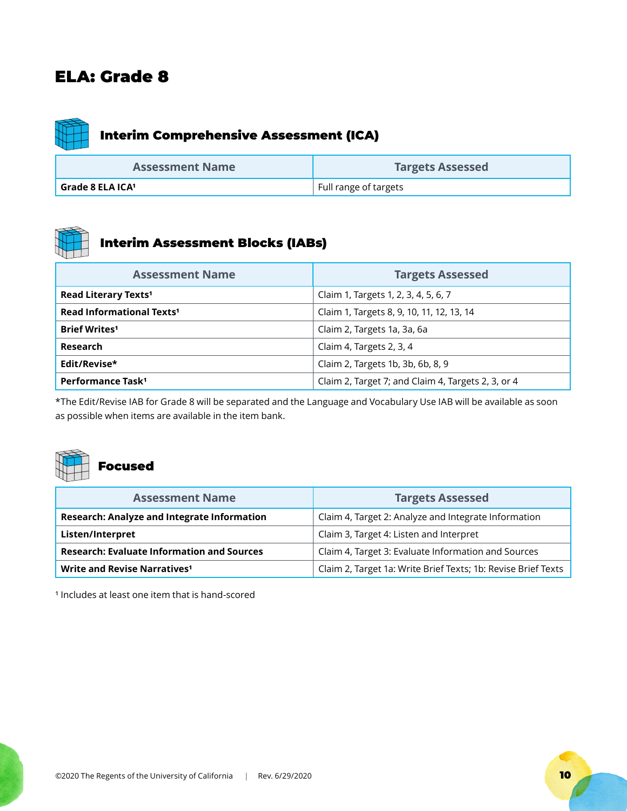

## Interim Comprehensive Assessment (ICA)

| <b>Assessment Name</b> | <b>Targets Assessed</b> |
|------------------------|-------------------------|
| Grade 8 ELA ICA $^1$   | Full range of targets   |



#### Interim Assessment Blocks (IABs)

| <b>Assessment Name</b>                      | <b>Targets Assessed</b>                            |
|---------------------------------------------|----------------------------------------------------|
| Read Literary Texts <sup>1</sup>            | Claim 1, Targets 1, 2, 3, 4, 5, 6, 7               |
| <b>Read Informational Texts<sup>1</sup></b> | Claim 1, Targets 8, 9, 10, 11, 12, 13, 14          |
| <b>Brief Writes<sup>1</sup></b>             | Claim 2, Targets 1a, 3a, 6a                        |
| Research                                    | Claim 4, Targets 2, 3, 4                           |
| Edit/Revise*                                | Claim 2, Targets 1b, 3b, 6b, 8, 9                  |
| Performance Task <sup>1</sup>               | Claim 2, Target 7; and Claim 4, Targets 2, 3, or 4 |

\*The Edit/Revise IAB for Grade 8 will be separated and the Language and Vocabulary Use IAB will be available as soon as possible when items are available in the item bank.



| <b>Assessment Name</b>                             | <b>Targets Assessed</b>                                       |
|----------------------------------------------------|---------------------------------------------------------------|
| <b>Research: Analyze and Integrate Information</b> | Claim 4, Target 2: Analyze and Integrate Information          |
| Listen/Interpret                                   | Claim 3, Target 4: Listen and Interpret                       |
| <b>Research: Evaluate Information and Sources</b>  | Claim 4, Target 3: Evaluate Information and Sources           |
| Write and Revise Narratives <sup>1</sup>           | Claim 2, Target 1a: Write Brief Texts; 1b: Revise Brief Texts |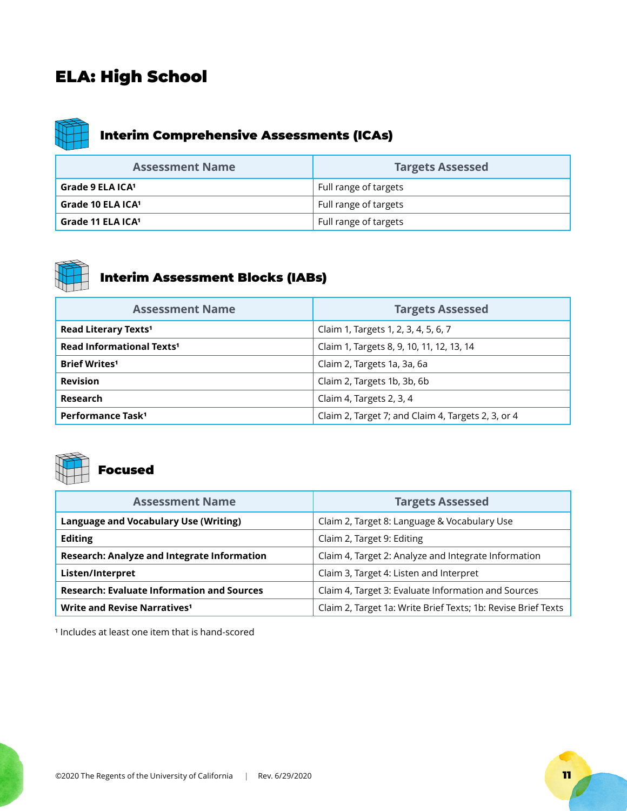## ELA: High School



## Interim Comprehensive Assessments (ICAs)

| <b>Assessment Name</b>        | <b>Targets Assessed</b> |
|-------------------------------|-------------------------|
| Grade 9 ELA ICA1              | Full range of targets   |
| Grade 10 ELA ICA <sup>1</sup> | Full range of targets   |
| Grade 11 ELA ICA1             | Full range of targets   |



# Interim Assessment Blocks (IABs)

| <b>Assessment Name</b>                | <b>Targets Assessed</b>                            |
|---------------------------------------|----------------------------------------------------|
| Read Literary Texts <sup>1</sup>      | Claim 1, Targets 1, 2, 3, 4, 5, 6, 7               |
| Read Informational Texts <sup>1</sup> | Claim 1, Targets 8, 9, 10, 11, 12, 13, 14          |
| <b>Brief Writes<sup>1</sup></b>       | Claim 2, Targets 1a, 3a, 6a                        |
| <b>Revision</b>                       | Claim 2, Targets 1b, 3b, 6b                        |
| Research                              | Claim 4, Targets 2, 3, 4                           |
| Performance Task <sup>1</sup>         | Claim 2, Target 7; and Claim 4, Targets 2, 3, or 4 |



## Focused

| <b>Assessment Name</b>                             | <b>Targets Assessed</b>                                       |
|----------------------------------------------------|---------------------------------------------------------------|
| <b>Language and Vocabulary Use (Writing)</b>       | Claim 2, Target 8: Language & Vocabulary Use                  |
| <b>Editing</b>                                     | Claim 2, Target 9: Editing                                    |
| <b>Research: Analyze and Integrate Information</b> | Claim 4, Target 2: Analyze and Integrate Information          |
| Listen/Interpret                                   | Claim 3, Target 4: Listen and Interpret                       |
| <b>Research: Evaluate Information and Sources</b>  | Claim 4, Target 3: Evaluate Information and Sources           |
| Write and Revise Narratives <sup>1</sup>           | Claim 2, Target 1a: Write Brief Texts; 1b: Revise Brief Texts |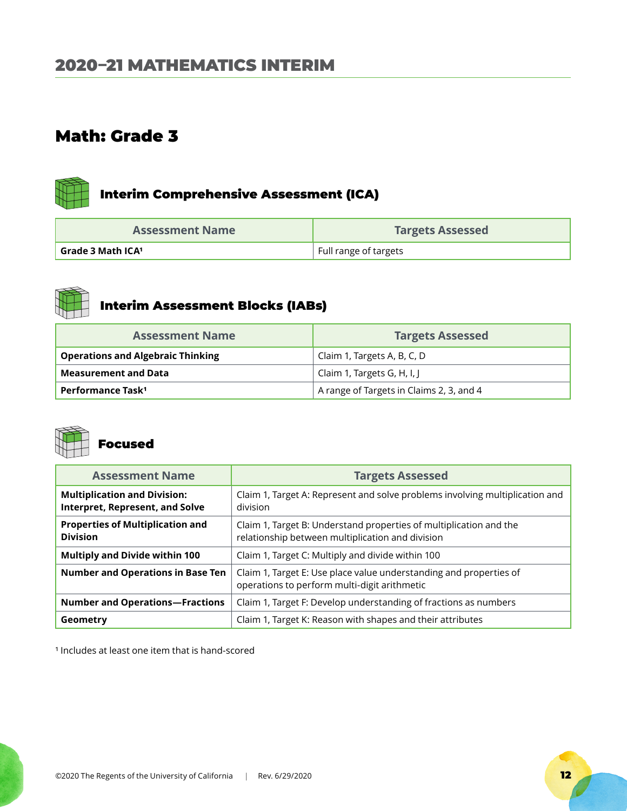<span id="page-11-0"></span>

| <b>Assessment Name</b> | <b>Targets Assessed</b> |
|------------------------|-------------------------|
| Grade 3 Math ICA1      | Full range of targets   |



## Interim Assessment Blocks (IABs)

| <b>Assessment Name</b>                   | <b>Targets Assessed</b>                  |
|------------------------------------------|------------------------------------------|
| <b>Operations and Algebraic Thinking</b> | Claim 1, Targets A, B, C, D              |
| <b>Measurement and Data</b>              | Claim 1, Targets G, H, I, J              |
| Performance Task <sup>1</sup>            | A range of Targets in Claims 2, 3, and 4 |



#### Focused

| <b>Assessment Name</b>                                                        | <b>Targets Assessed</b>                                                                                                |
|-------------------------------------------------------------------------------|------------------------------------------------------------------------------------------------------------------------|
| <b>Multiplication and Division:</b><br><b>Interpret, Represent, and Solve</b> | Claim 1, Target A: Represent and solve problems involving multiplication and<br>division                               |
| <b>Properties of Multiplication and</b><br><b>Division</b>                    | Claim 1, Target B: Understand properties of multiplication and the<br>relationship between multiplication and division |
| <b>Multiply and Divide within 100</b>                                         | Claim 1, Target C: Multiply and divide within 100                                                                      |
| <b>Number and Operations in Base Ten</b>                                      | Claim 1, Target E: Use place value understanding and properties of<br>operations to perform multi-digit arithmetic     |
| <b>Number and Operations-Fractions</b>                                        | Claim 1, Target F: Develop understanding of fractions as numbers                                                       |
| Geometry                                                                      | Claim 1, Target K: Reason with shapes and their attributes                                                             |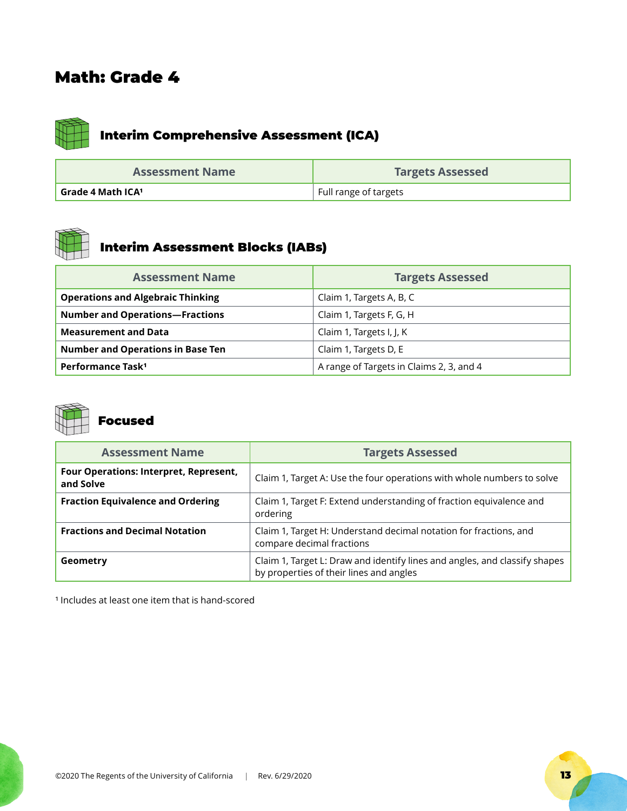

| <b>Assessment Name</b> | <b>Targets Assessed</b> |
|------------------------|-------------------------|
| Grade 4 Math ICA1      | Full range of targets   |



## Interim Assessment Blocks (IABs)

| <b>Assessment Name</b>                   | <b>Targets Assessed</b>                  |
|------------------------------------------|------------------------------------------|
| <b>Operations and Algebraic Thinking</b> | Claim 1, Targets A, B, C                 |
| <b>Number and Operations-Fractions</b>   | Claim 1, Targets F, G, H                 |
| <b>Measurement and Data</b>              | Claim 1, Targets I, J, K                 |
| <b>Number and Operations in Base Ten</b> | Claim 1, Targets D, E                    |
| Performance Task <sup>1</sup>            | A range of Targets in Claims 2, 3, and 4 |



## Focused

| <b>Assessment Name</b>                                     | <b>Targets Assessed</b>                                                                                               |
|------------------------------------------------------------|-----------------------------------------------------------------------------------------------------------------------|
| <b>Four Operations: Interpret, Represent,</b><br>and Solve | Claim 1, Target A: Use the four operations with whole numbers to solve                                                |
| <b>Fraction Equivalence and Ordering</b>                   | Claim 1, Target F: Extend understanding of fraction equivalence and<br>ordering                                       |
| <b>Fractions and Decimal Notation</b>                      | Claim 1, Target H: Understand decimal notation for fractions, and<br>compare decimal fractions                        |
| Geometry                                                   | Claim 1, Target L: Draw and identify lines and angles, and classify shapes<br>by properties of their lines and angles |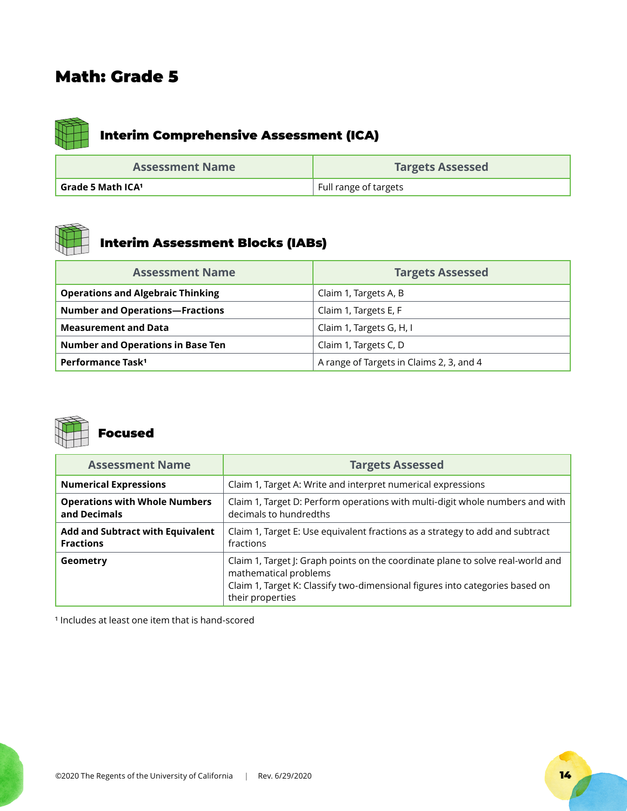

## Interim Comprehensive Assessment (ICA)

| <b>Assessment Name</b>   | <b>Targets Assessed</b> |
|--------------------------|-------------------------|
| <b>Grade 5 Math ICA1</b> | Full range of targets   |



## Interim Assessment Blocks (IABs)

| <b>Assessment Name</b>                   | <b>Targets Assessed</b>                  |
|------------------------------------------|------------------------------------------|
| <b>Operations and Algebraic Thinking</b> | Claim 1, Targets A, B                    |
| <b>Number and Operations-Fractions</b>   | Claim 1, Targets E, F                    |
| <b>Measurement and Data</b>              | Claim 1, Targets G, H, I                 |
| <b>Number and Operations in Base Ten</b> | Claim 1, Targets C, D                    |
| Performance Task <sup>1</sup>            | A range of Targets in Claims 2, 3, and 4 |



| <b>Assessment Name</b>                               | <b>Targets Assessed</b>                                                                                                                                                                                      |
|------------------------------------------------------|--------------------------------------------------------------------------------------------------------------------------------------------------------------------------------------------------------------|
| <b>Numerical Expressions</b>                         | Claim 1, Target A: Write and interpret numerical expressions                                                                                                                                                 |
| <b>Operations with Whole Numbers</b><br>and Decimals | Claim 1, Target D: Perform operations with multi-digit whole numbers and with<br>decimals to hundredths                                                                                                      |
| Add and Subtract with Equivalent<br><b>Fractions</b> | Claim 1, Target E: Use equivalent fractions as a strategy to add and subtract<br>fractions                                                                                                                   |
| Geometry                                             | Claim 1, Target J: Graph points on the coordinate plane to solve real-world and<br>mathematical problems<br>Claim 1, Target K: Classify two-dimensional figures into categories based on<br>their properties |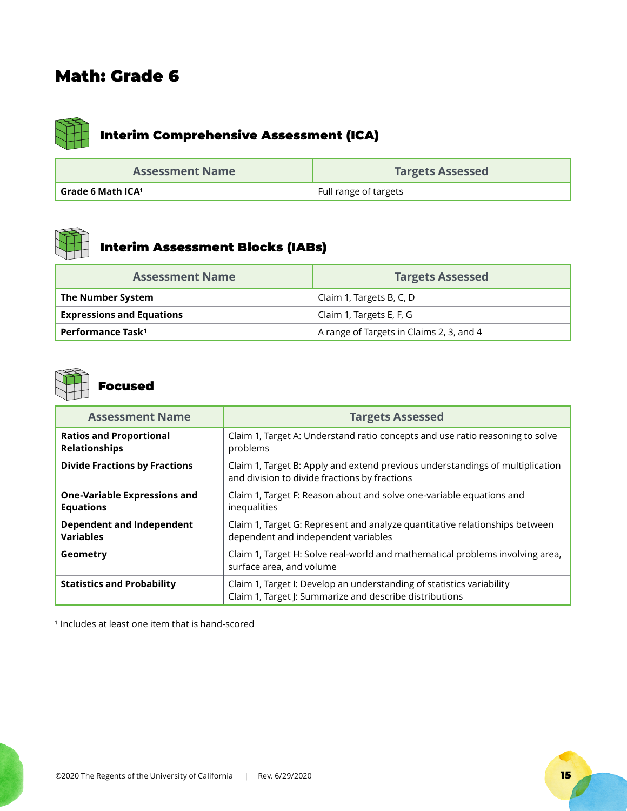

| <b>Assessment Name</b>   | <b>Targets Assessed</b> |
|--------------------------|-------------------------|
| <b>Grade 6 Math ICA1</b> | Full range of targets   |



## Interim Assessment Blocks (IABs)

| <b>Assessment Name</b>           | <b>Targets Assessed</b>                  |
|----------------------------------|------------------------------------------|
| The Number System                | Claim 1, Targets B, C, D                 |
| <b>Expressions and Equations</b> | Claim 1, Targets E, F, G                 |
| Performance Task <sup>1</sup>    | A range of Targets in Claims 2, 3, and 4 |



## Focused

| <b>Assessment Name</b>                                  | <b>Targets Assessed</b>                                                                                                          |
|---------------------------------------------------------|----------------------------------------------------------------------------------------------------------------------------------|
| <b>Ratios and Proportional</b><br><b>Relationships</b>  | Claim 1, Target A: Understand ratio concepts and use ratio reasoning to solve<br>problems                                        |
| <b>Divide Fractions by Fractions</b>                    | Claim 1, Target B: Apply and extend previous understandings of multiplication<br>and division to divide fractions by fractions   |
| <b>One-Variable Expressions and</b><br><b>Equations</b> | Claim 1, Target F: Reason about and solve one-variable equations and<br>inequalities                                             |
| <b>Dependent and Independent</b><br><b>Variables</b>    | Claim 1, Target G: Represent and analyze quantitative relationships between<br>dependent and independent variables               |
| Geometry                                                | Claim 1, Target H: Solve real-world and mathematical problems involving area,<br>surface area, and volume                        |
| <b>Statistics and Probability</b>                       | Claim 1, Target I: Develop an understanding of statistics variability<br>Claim 1, Target J: Summarize and describe distributions |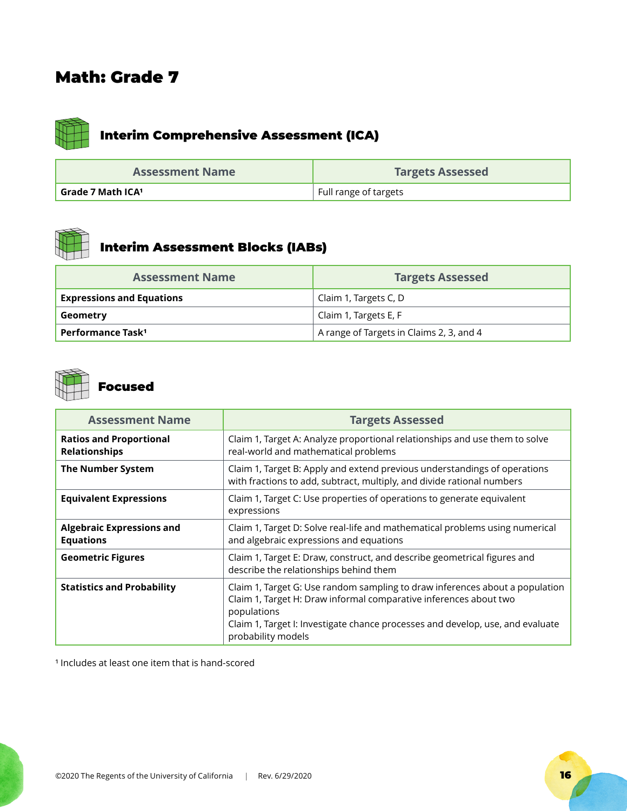

| <b>Assessment Name</b>   | <b>Targets Assessed</b> |
|--------------------------|-------------------------|
| <b>Grade 7 Math ICA1</b> | Full range of targets   |



## Interim Assessment Blocks (IABs)

| <b>Assessment Name</b>           | <b>Targets Assessed</b>                  |
|----------------------------------|------------------------------------------|
| <b>Expressions and Equations</b> | Claim 1, Targets C, D                    |
| Geometry                         | Claim 1, Targets E, F                    |
| Performance Task <sup>1</sup>    | A range of Targets in Claims 2, 3, and 4 |



### Focused

| <b>Assessment Name</b>                                 | <b>Targets Assessed</b>                                                                                                                                                                                                                                                  |
|--------------------------------------------------------|--------------------------------------------------------------------------------------------------------------------------------------------------------------------------------------------------------------------------------------------------------------------------|
| <b>Ratios and Proportional</b><br><b>Relationships</b> | Claim 1, Target A: Analyze proportional relationships and use them to solve<br>real-world and mathematical problems                                                                                                                                                      |
| <b>The Number System</b>                               | Claim 1, Target B: Apply and extend previous understandings of operations<br>with fractions to add, subtract, multiply, and divide rational numbers                                                                                                                      |
| <b>Equivalent Expressions</b>                          | Claim 1, Target C: Use properties of operations to generate equivalent<br>expressions                                                                                                                                                                                    |
| <b>Algebraic Expressions and</b><br><b>Equations</b>   | Claim 1, Target D: Solve real-life and mathematical problems using numerical<br>and algebraic expressions and equations                                                                                                                                                  |
| <b>Geometric Figures</b>                               | Claim 1, Target E: Draw, construct, and describe geometrical figures and<br>describe the relationships behind them                                                                                                                                                       |
| <b>Statistics and Probability</b>                      | Claim 1, Target G: Use random sampling to draw inferences about a population<br>Claim 1, Target H: Draw informal comparative inferences about two<br>populations<br>Claim 1, Target I: Investigate chance processes and develop, use, and evaluate<br>probability models |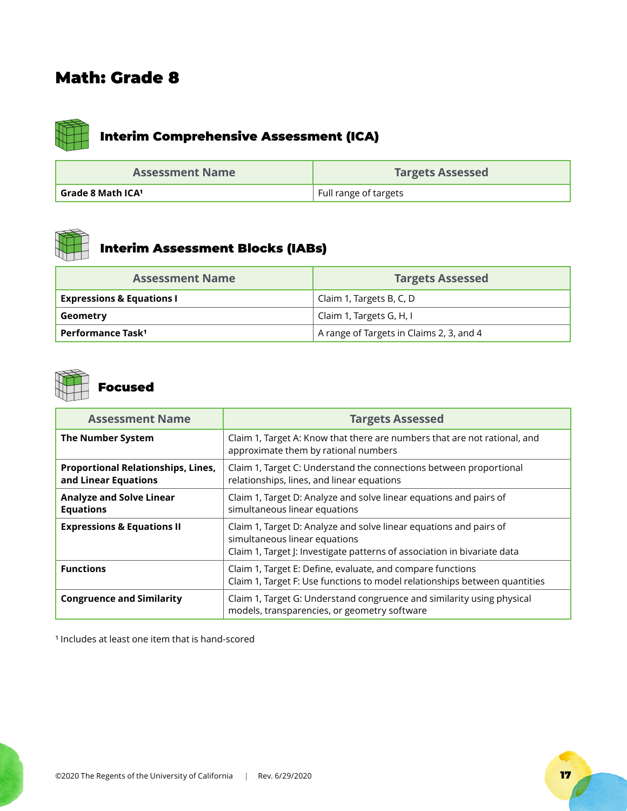

## Interim Comprehensive Assessment (ICA)

| <b>Assessment Name</b>   | <b>Targets Assessed</b> |
|--------------------------|-------------------------|
| <b>Grade 8 Math ICA1</b> | Full range of targets   |



## Interim Assessment Blocks (IABs)

| <b>Assessment Name</b>               | <b>Targets Assessed</b>                  |
|--------------------------------------|------------------------------------------|
| <b>Expressions &amp; Equations I</b> | Claim 1, Targets B, C, D                 |
| Geometry                             | Claim 1, Targets G, H, I                 |
| Performance Task <sup>1</sup>        | A range of Targets in Claims 2, 3, and 4 |



## Focused

| <b>Assessment Name</b>                                            | <b>Targets Assessed</b>                                                                                                                                                         |
|-------------------------------------------------------------------|---------------------------------------------------------------------------------------------------------------------------------------------------------------------------------|
| <b>The Number System</b>                                          | Claim 1, Target A: Know that there are numbers that are not rational, and<br>approximate them by rational numbers                                                               |
| <b>Proportional Relationships, Lines,</b><br>and Linear Equations | Claim 1, Target C: Understand the connections between proportional<br>relationships, lines, and linear equations                                                                |
| <b>Analyze and Solve Linear</b><br><b>Equations</b>               | Claim 1, Target D: Analyze and solve linear equations and pairs of<br>simultaneous linear equations                                                                             |
| <b>Expressions &amp; Equations II</b>                             | Claim 1, Target D: Analyze and solve linear equations and pairs of<br>simultaneous linear equations<br>Claim 1, Target J: Investigate patterns of association in bivariate data |
| <b>Functions</b>                                                  | Claim 1, Target E: Define, evaluate, and compare functions<br>Claim 1, Target F: Use functions to model relationships between quantities                                        |
| <b>Congruence and Similarity</b>                                  | Claim 1, Target G: Understand congruence and similarity using physical<br>models, transparencies, or geometry software                                                          |